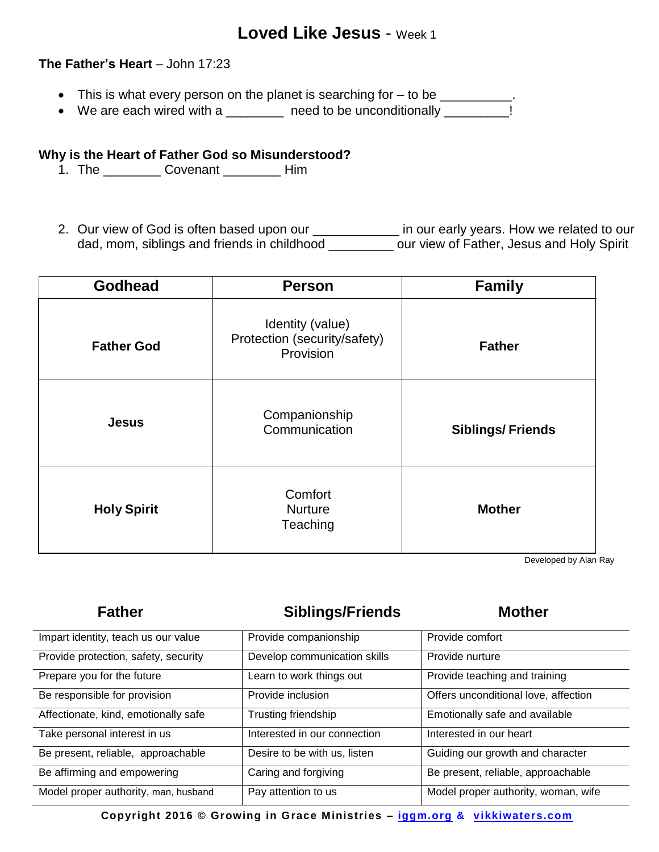# **Loved Like Jesus** - Week 1

## **The Father's Heart** – John 17:23

- This is what every person on the planet is searching for to be \_\_\_\_\_\_\_\_\_\_.
- We are each wired with a \_\_\_\_\_\_\_\_ need to be unconditionally \_\_\_\_\_\_\_\_\_!

## **Why is the Heart of Father God so Misunderstood?**

- 1. The \_\_\_\_\_\_\_\_ Covenant \_\_\_\_\_\_\_\_ Him
- 2. Our view of God is often based upon our \_\_\_\_\_\_\_\_\_\_\_\_\_\_ in our early years. How we related to our dad, mom, siblings and friends in childhood \_\_\_\_\_\_\_\_\_ our view of Father, Jesus and Holy Spirit

| <b>Godhead</b>     | <b>Person</b>                                                 | <b>Family</b>           |
|--------------------|---------------------------------------------------------------|-------------------------|
| <b>Father God</b>  | Identity (value)<br>Protection (security/safety)<br>Provision | <b>Father</b>           |
| <b>Jesus</b>       | Companionship<br>Communication                                | <b>Siblings/Friends</b> |
| <b>Holy Spirit</b> | Comfort<br><b>Nurture</b><br>Teaching                         | <b>Mother</b>           |

Developed by Alan Ray

## Father **Siblings/Friends** Mother

| Impart identity, teach us our value  | Provide companionship        | Provide comfort                      |
|--------------------------------------|------------------------------|--------------------------------------|
| Provide protection, safety, security | Develop communication skills | Provide nurture                      |
| Prepare you for the future           | Learn to work things out     | Provide teaching and training        |
| Be responsible for provision         | Provide inclusion            | Offers unconditional love, affection |
| Affectionate, kind, emotionally safe | Trusting friendship          | Emotionally safe and available       |
| Take personal interest in us         | Interested in our connection | Interested in our heart              |
| Be present, reliable, approachable   | Desire to be with us, listen | Guiding our growth and character     |
| Be affirming and empowering          | Caring and forgiving         | Be present, reliable, approachable   |
| Model proper authority, man, husband | Pay attention to us          | Model proper authority, woman, wife  |

**Copyright 2016 © Growing in Grace Ministries – iggm.org & vikkiwaters.com**